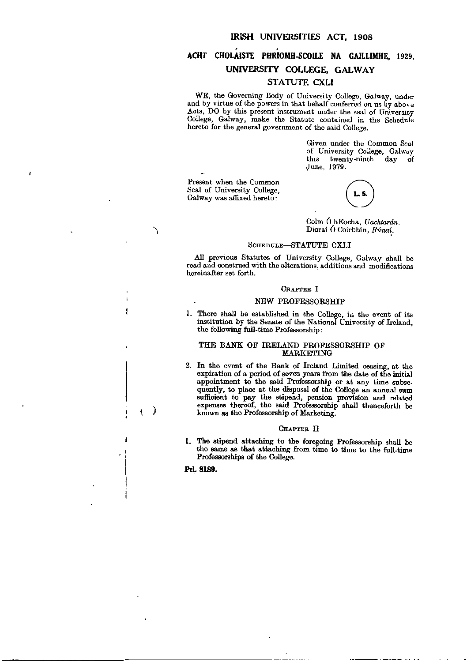# ACHT CHOLAISTE PHRIOMH-SCOILE NA GAILLIMHE, 1929. UNIVERSITY COLLEGE, GALWAY STATUTE CXLI

WE, the Governing Body of University College, Galway, under and by virtue of the powers in that behalf conferred on us by above Acts, DO by this present instrument under the seal of University College, Galway, make the Statute contained in the Schedule hereto for the general government of the said College.

> Given under the Common Seal of University College, Galway this twenty-ninth day of ,June, 1979.

Present when the Common Seal of University College, Galway was affixed hereto:

Colm 6 hEocha, *Uachtaran.*  Dioraí O Coirbhin, Rúnaí.

### SCHEDULE-STATUTE CXLI

All previous Statutes of University College, Galway shall be read and construed with the alterations, additions and modifications hereinafter set forth.

### CHAPTER I

## NEW PROFESSORSHIP

I. There shall be established in the College, in the event of its institution by the Senate of the National University of Ireland, the following full-time Professorship:

### THE BANK OF IRELAND PROFESSORSHIP OF MARKETING

2. In the event of the Bank of Ireland Limited ceasing, at the expiration of a period of seven years from the date of the initial appointment to the said Professorship or at any time subsequently, to place at the disposal of the College an annual sum sufficient to pay the stipend, pension provision and related expenses thereof, the said Professorship shall thenceforth be known as the Professorship of Marketing.

### CHAPTER II

I. The stipend attaching to the foregoing Professorship shall be the same as that attaching from time to time to the full-time Professorships of the College.

Prl. 8189.

 $\left\{ \begin{array}{c} \end{array} \right\}$ 

 $\overline{\mathbf{a}}$